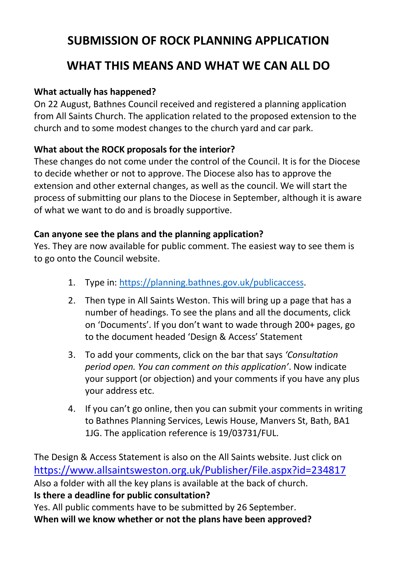# **SUBMISSION OF ROCK PLANNING APPLICATION WHAT THIS MEANS AND WHAT WE CAN ALL DO**

# **What actually has happened?**

On 22 August, Bathnes Council received and registered a planning application from All Saints Church. The application related to the proposed extension to the church and to some modest changes to the church yard and car park.

# **What about the ROCK proposals for the interior?**

These changes do not come under the control of the Council. It is for the Diocese to decide whether or not to approve. The Diocese also has to approve the extension and other external changes, as well as the council. We will start the process of submitting our plans to the Diocese in September, although it is aware of what we want to do and is broadly supportive.

# **Can anyone see the plans and the planning application?**

Yes. They are now available for public comment. The easiest way to see them is to go onto the Council website.

- 1. Type in: [https://planning.bathnes.gov.uk/publicaccess.](https://planning.bathnes.gov.uk/publicaccess)
- 2. Then type in All Saints Weston. This will bring up a page that has a number of headings. To see the plans and all the documents, click on 'Documents'. If you don't want to wade through 200+ pages, go to the document headed 'Design & Access' Statement
- 3. To add your comments, click on the bar that says *'Consultation period open. You can comment on this application'*. Now indicate your support (or objection) and your comments if you have any plus your address etc.
- 4. If you can't go online, then you can submit your comments in writing to Bathnes Planning Services, Lewis House, Manvers St, Bath, BA1 1JG. The application reference is 19/03731/FUL.

The Design & Access Statement is also on the All Saints website. Just click on <https://www.allsaintsweston.org.uk/Publisher/File.aspx?id=234817> Also a folder with all the key plans is available at the back of church. **Is there a deadline for public consultation?** Yes. All public comments have to be submitted by 26 September. **When will we know whether or not the plans have been approved?**